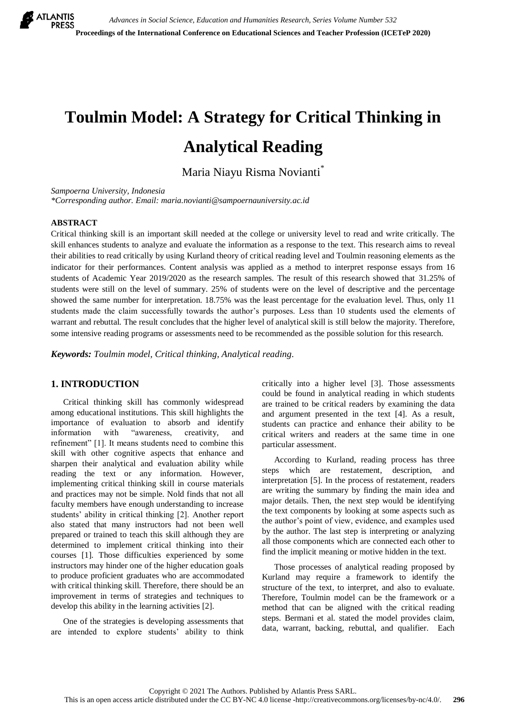

# **Toulmin Model: A Strategy for Critical Thinking in Analytical Reading**

Maria Niayu Risma Novianti \*

*Sampoerna University, Indonesia*

*\*Corresponding author. Email: [maria.novianti@sampoernauniversity.ac.id](mailto:maria.novianti@sampoernauniversity.ac.id)*

## **ABSTRACT**

Critical thinking skill is an important skill needed at the college or university level to read and write critically. The skill enhances students to analyze and evaluate the information as a response to the text. This research aims to reveal their abilities to read critically by using Kurland theory of critical reading level and Toulmin reasoning elements as the indicator for their performances. Content analysis was applied as a method to interpret response essays from 16 students of Academic Year 2019/2020 as the research samples. The result of this research showed that 31.25% of students were still on the level of summary. 25% of students were on the level of descriptive and the percentage showed the same number for interpretation. 18.75% was the least percentage for the evaluation level. Thus, only 11 students made the claim successfully towards the author's purposes. Less than 10 students used the elements of warrant and rebuttal. The result concludes that the higher level of analytical skill is still below the majority. Therefore, some intensive reading programs or assessments need to be recommended as the possible solution for this research.

*Keywords: Toulmin model, Critical thinking, Analytical reading.*

# **1. INTRODUCTION**

Critical thinking skill has commonly widespread among educational institutions. This skill highlights the importance of evaluation to absorb and identify information with "awareness, creativity, and refinement" [1]. It means students need to combine this skill with other cognitive aspects that enhance and sharpen their analytical and evaluation ability while reading the text or any information. However, implementing critical thinking skill in course materials and practices may not be simple. Nold finds that not all faculty members have enough understanding to increase students' ability in critical thinking [2]. Another report also stated that many instructors had not been well prepared or trained to teach this skill although they are determined to implement critical thinking into their courses [1]. Those difficulties experienced by some instructors may hinder one of the higher education goals to produce proficient graduates who are accommodated with critical thinking skill. Therefore, there should be an improvement in terms of strategies and techniques to develop this ability in the learning activities [2].

One of the strategies is developing assessments that are intended to explore students' ability to think critically into a higher level [3]. Those assessments could be found in analytical reading in which students are trained to be critical readers by examining the data and argument presented in the text [4]. As a result, students can practice and enhance their ability to be critical writers and readers at the same time in one particular assessment.

According to Kurland, reading process has three steps which are restatement, description, and interpretation [5]. In the process of restatement, readers are writing the summary by finding the main idea and major details. Then, the next step would be identifying the text components by looking at some aspects such as the author's point of view, evidence, and examples used by the author. The last step is interpreting or analyzing all those components which are connected each other to find the implicit meaning or motive hidden in the text.

Those processes of analytical reading proposed by Kurland may require a framework to identify the structure of the text, to interpret, and also to evaluate. Therefore, Toulmin model can be the framework or a method that can be aligned with the critical reading steps. Bermani et al. stated the model provides claim, data, warrant, backing, rebuttal, and qualifier. Each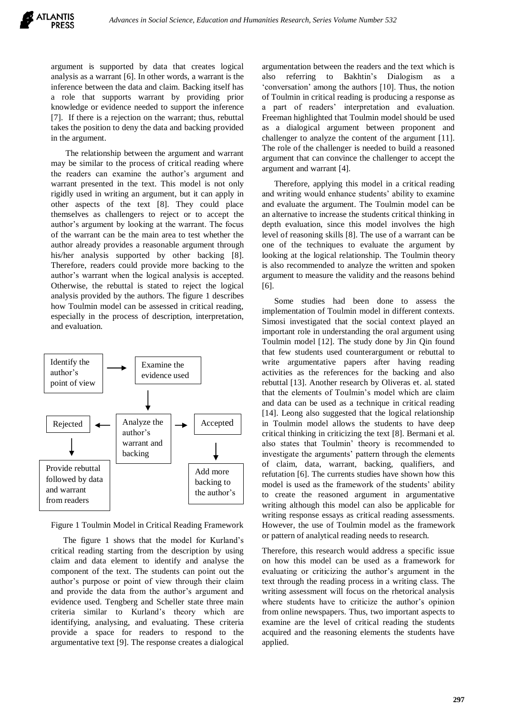argument is supported by data that creates logical analysis as a warrant [6]. In other words, a warrant is the inference between the data and claim. Backing itself has a role that supports warrant by providing prior knowledge or evidence needed to support the inference [7]. If there is a rejection on the warrant; thus, rebuttal takes the position to deny the data and backing provided in the argument.

The relationship between the argument and warrant may be similar to the process of critical reading where the readers can examine the author's argument and warrant presented in the text. This model is not only rigidly used in writing an argument, but it can apply in other aspects of the text [8]. They could place themselves as challengers to reject or to accept the author's argument by looking at the warrant. The focus of the warrant can be the main area to test whether the author already provides a reasonable argument through his/her analysis supported by other backing [8]. Therefore, readers could provide more backing to the author's warrant when the logical analysis is accepted. Otherwise, the rebuttal is stated to reject the logical analysis provided by the authors. The figure 1 describes how Toulmin model can be assessed in critical reading, especially in the process of description, interpretation, and evaluation.



Figure 1 Toulmin Model in Critical Reading Framework

The figure 1 shows that the model for Kurland's critical reading starting from the description by using claim and data element to identify and analyse the component of the text. The students can point out the author's purpose or point of view through their claim and provide the data from the author's argument and evidence used. Tengberg and Scheller state three main criteria similar to Kurland's theory which are identifying, analysing, and evaluating. These criteria provide a space for readers to respond to the argumentative text [9]. The response creates a dialogical argumentation between the readers and the text which is also referring to Bakhtin's Dialogism as a 'conversation' among the authors [10]. Thus, the notion of Toulmin in critical reading is producing a response as a part of readers' interpretation and evaluation. Freeman highlighted that Toulmin model should be used as a dialogical argument between proponent and challenger to analyze the content of the argument [11]. The role of the challenger is needed to build a reasoned argument that can convince the challenger to accept the argument and warrant [4].

Therefore, applying this model in a critical reading and writing would enhance students' ability to examine and evaluate the argument. The Toulmin model can be an alternative to increase the students critical thinking in depth evaluation, since this model involves the high level of reasoning skills [8]. The use of a warrant can be one of the techniques to evaluate the argument by looking at the logical relationship. The Toulmin theory is also recommended to analyze the written and spoken argument to measure the validity and the reasons behind [6].

Some studies had been done to assess the implementation of Toulmin model in different contexts. Simosi investigated that the social context played an important role in understanding the oral argument using Toulmin model [12]. The study done by Jin Qin found that few students used counterargument or rebuttal to write argumentative papers after having reading activities as the references for the backing and also rebuttal [13]. Another research by Oliveras et. al. stated that the elements of Toulmin's model which are claim and data can be used as a technique in critical reading [14]. Leong also suggested that the logical relationship in Toulmin model allows the students to have deep critical thinking in criticizing the text [8]. Bermani et al. also states that Toulmin' theory is recommended to investigate the arguments' pattern through the elements of claim, data, warrant, backing, qualifiers, and refutation [6]. The currents studies have shown how this model is used as the framework of the students' ability to create the reasoned argument in argumentative writing although this model can also be applicable for writing response essays as critical reading assessments. However, the use of Toulmin model as the framework or pattern of analytical reading needs to research.

Therefore, this research would address a specific issue on how this model can be used as a framework for evaluating or criticizing the author's argument in the text through the reading process in a writing class. The writing assessment will focus on the rhetorical analysis where students have to criticize the author's opinion from online newspapers. Thus, two important aspects to examine are the level of critical reading the students acquired and the reasoning elements the students have applied.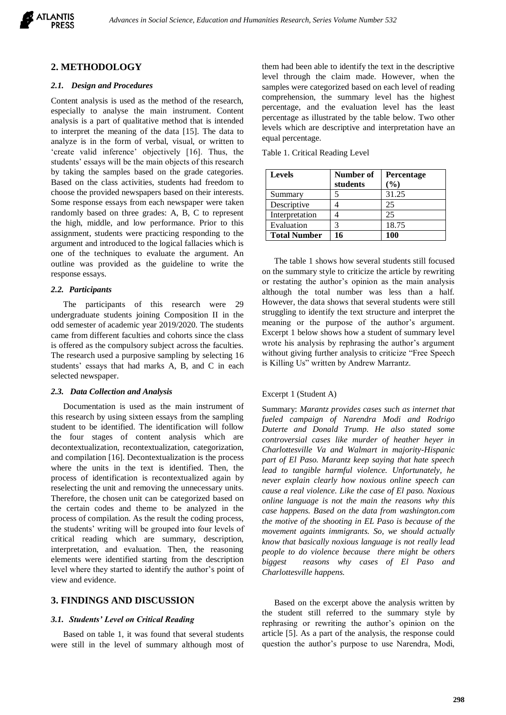

## **2. METHODOLOGY**

#### *2.1. Design and Procedures*

Content analysis is used as the method of the research, especially to analyse the main instrument. Content analysis is a part of qualitative method that is intended to interpret the meaning of the data [15]. The data to analyze is in the form of verbal, visual, or written to 'create valid inference' objectively [16]. Thus, the students' essays will be the main objects of this research by taking the samples based on the grade categories. Based on the class activities, students had freedom to choose the provided newspapers based on their interests. Some response essays from each newspaper were taken randomly based on three grades: A, B, C to represent the high, middle, and low performance. Prior to this assignment, students were practicing responding to the argument and introduced to the logical fallacies which is one of the techniques to evaluate the argument. An outline was provided as the guideline to write the response essays.

#### *2.2. Participants*

The participants of this research were 29 undergraduate students joining Composition II in the odd semester of academic year 2019/2020. The students came from different faculties and cohorts since the class is offered as the compulsory subject across the faculties. The research used a purposive sampling by selecting 16 students' essays that had marks A, B, and C in each selected newspaper.

#### *2.3. Data Collection and Analysis*

Documentation is used as the main instrument of this research by using sixteen essays from the sampling student to be identified. The identification will follow the four stages of content analysis which are decontextualization, recontextualization, categorization, and compilation [16]. Decontextualization is the process where the units in the text is identified. Then, the process of identification is recontextualized again by reselecting the unit and removing the unnecessary units. Therefore, the chosen unit can be categorized based on the certain codes and theme to be analyzed in the process of compilation. As the result the coding process, the students' writing will be grouped into four levels of critical reading which are summary, description, interpretation, and evaluation. Then, the reasoning elements were identified starting from the description level where they started to identify the author's point of view and evidence.

## **3. FINDINGS AND DISCUSSION**

#### *3.1. Students' Level on Critical Reading*

Based on table 1, it was found that several students were still in the level of summary although most of them had been able to identify the text in the descriptive level through the claim made. However, when the samples were categorized based on each level of reading comprehension, the summary level has the highest percentage, and the evaluation level has the least percentage as illustrated by the table below. Two other levels which are descriptive and interpretation have an equal percentage.

|  |  | Table 1. Critical Reading Level |  |
|--|--|---------------------------------|--|
|--|--|---------------------------------|--|

| <b>Levels</b>       | Number of<br>students | <b>Percentage</b><br>$($ %) |
|---------------------|-----------------------|-----------------------------|
| Summary             |                       | 31.25                       |
| Descriptive         |                       | 25                          |
| Interpretation      |                       | 25                          |
| Evaluation          | 3                     | 18.75                       |
| <b>Total Number</b> | 16                    | 100                         |

The table 1 shows how several students still focused on the summary style to criticize the article by rewriting or restating the author's opinion as the main analysis although the total number was less than a half. However, the data shows that several students were still struggling to identify the text structure and interpret the meaning or the purpose of the author's argument. Excerpt 1 below shows how a student of summary level wrote his analysis by rephrasing the author's argument without giving further analysis to criticize "Free Speech is Killing Us" written by Andrew Marrantz.

## Excerpt 1 (Student A)

Summary: *Marantz provides cases such as internet that fueled campaign of Narendra Modi and Rodrigo Duterte and Donald Trump. He also stated some controversial cases like murder of heather heyer in Charlottesville Va and Walmart in majority-Hispanic part of El Paso. Marantz keep saying that hate speech lead to tangible harmful violence. Unfortunately, he never explain clearly how noxious online speech can cause a real violence. Like the case of El paso. Noxious online language is not the main the reasons why this case happens. Based on the data from washington.com the motive of the shooting in EL Paso is because of the movement againts immigrants. So, we should actually know that basically noxious language is not really lead people to do violence because there might be others biggest reasons why cases of El Paso and Charlottesville happens.*

Based on the excerpt above the analysis written by the student still referred to the summary style by rephrasing or rewriting the author's opinion on the article [5]. As a part of the analysis, the response could question the author's purpose to use Narendra, Modi,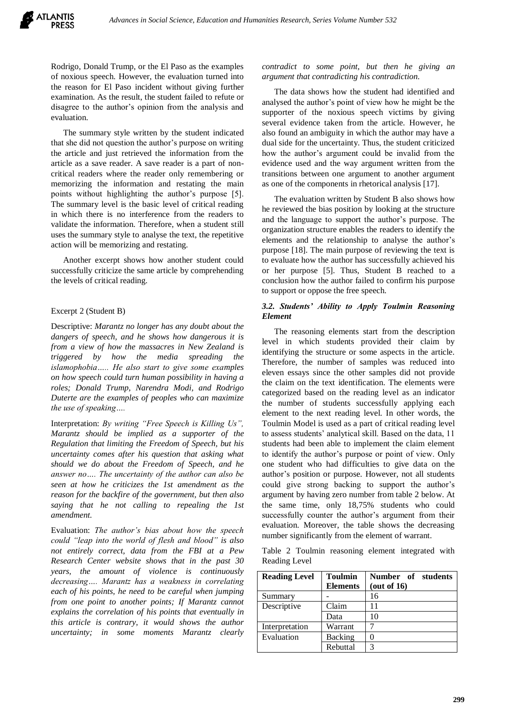Rodrigo, Donald Trump, or the El Paso as the examples of noxious speech. However, the evaluation turned into the reason for El Paso incident without giving further examination. As the result, the student failed to refute or disagree to the author's opinion from the analysis and evaluation.

The summary style written by the student indicated that she did not question the author's purpose on writing the article and just retrieved the information from the article as a save reader. A save reader is a part of noncritical readers where the reader only remembering or memorizing the information and restating the main points without highlighting the author's purpose [5]. The summary level is the basic level of critical reading in which there is no interference from the readers to validate the information. Therefore, when a student still uses the summary style to analyse the text, the repetitive action will be memorizing and restating.

Another excerpt shows how another student could successfully criticize the same article by comprehending the levels of critical reading.

## Excerpt 2 (Student B)

Descriptive: *Marantz no longer has any doubt about the dangers of speech, and he shows how dangerous it is from a view of how the massacres in New Zealand is triggered by how the media spreading the islamophobia….. He also start to give some examples on how speech could turn human possibility in having a roles; Donald Trump, Narendra Modi, and Rodrigo Duterte are the examples of peoples who can maximize the use of speaking….*

Interpretation: *By writing "Free Speech is Killing Us", Marantz should be implied as a supporter of the Regulation that limiting the Freedom of Speech, but his uncertainty comes after his question that asking what should we do about the Freedom of Speech, and he answer no…. The uncertainty of the author can also be seen at how he criticizes the 1st amendment as the reason for the backfire of the government, but then also saying that he not calling to repealing the 1st amendment.* 

Evaluation: *The author's bias about how the speech could "leap into the world of flesh and blood" is also not entirely correct, data from the FBI at a Pew Research Center website shows that in the past 30 years, the amount of violence is continuously decreasing…. Marantz has a weakness in correlating each of his points, he need to be careful when jumping from one point to another points; If Marantz cannot explains the correlation of his points that eventually in this article is contrary, it would shows the author uncertainty; in some moments Marantz clearly* 

*contradict to some point, but then he giving an argument that contradicting his contradiction.*

The data shows how the student had identified and analysed the author's point of view how he might be the supporter of the noxious speech victims by giving several evidence taken from the article. However, he also found an ambiguity in which the author may have a dual side for the uncertainty. Thus, the student criticized how the author's argument could be invalid from the evidence used and the way argument written from the transitions between one argument to another argument as one of the components in rhetorical analysis [17].

The evaluation written by Student B also shows how he reviewed the bias position by looking at the structure and the language to support the author's purpose. The organization structure enables the readers to identify the elements and the relationship to analyse the author's purpose [18]. The main purpose of reviewing the text is to evaluate how the author has successfully achieved his or her purpose [5]. Thus, Student B reached to a conclusion how the author failed to confirm his purpose to support or oppose the free speech.

## *3.2. Students' Ability to Apply Toulmin Reasoning Element*

The reasoning elements start from the description level in which students provided their claim by identifying the structure or some aspects in the article. Therefore, the number of samples was reduced into eleven essays since the other samples did not provide the claim on the text identification. The elements were categorized based on the reading level as an indicator the number of students successfully applying each element to the next reading level. In other words, the Toulmin Model is used as a part of critical reading level to assess students' analytical skill. Based on the data, 11 students had been able to implement the claim element to identify the author's purpose or point of view. Only one student who had difficulties to give data on the author's position or purpose. However, not all students could give strong backing to support the author's argument by having zero number from table 2 below. At the same time, only 18,75% students who could successfully counter the author's argument from their evaluation. Moreover, the table shows the decreasing number significantly from the element of warrant.

Table 2 Toulmin reasoning element integrated with Reading Level

| <b>Reading Level</b> | <b>Toulmin</b><br><b>Elements</b> | Number of students<br>(out of 16) |
|----------------------|-----------------------------------|-----------------------------------|
| Summary              |                                   | 16                                |
| Descriptive          | Claim                             | 11                                |
|                      | Data                              | 10                                |
| Interpretation       | Warrant                           |                                   |
| Evaluation           | <b>Backing</b>                    |                                   |
|                      | Rebuttal                          |                                   |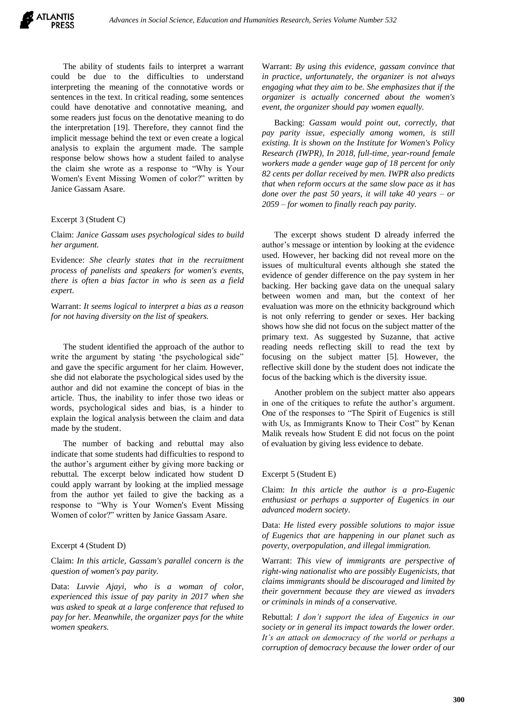

The ability of students fails to interpret a warrant could be due to the difficulties to understand interpreting the meaning of the connotative words or sentences in the text. In critical reading, some sentences could have denotative and connotative meaning, and some readers just focus on the denotative meaning to do the interpretation [19]. Therefore, they cannot find the implicit message behind the text or even create a logical analysis to explain the argument made. The sample response below shows how a student failed to analyse the claim she wrote as a response to "Why is Your Women's Event Missing Women of color?" written by Janice Gassam Asare.

#### Excerpt 3 (Student C)

Claim: *Janice Gassam uses psychological sides to build her argument.*

Evidence: *She clearly states that in the recruitment process of panelists and speakers for women's events, there is often a bias factor in who is seen as a field expert*.

Warrant: *It seems logical to interpret a bias as a reason for not having diversity on the list of speakers.* 

The student identified the approach of the author to write the argument by stating 'the psychological side" and gave the specific argument for her claim. However, she did not elaborate the psychological sides used by the author and did not examine the concept of bias in the article. Thus, the inability to infer those two ideas or words, psychological sides and bias, is a hinder to explain the logical analysis between the claim and data made by the student.

The number of backing and rebuttal may also indicate that some students had difficulties to respond to the author's argument either by giving more backing or rebuttal. The excerpt below indicated how student D could apply warrant by looking at the implied message from the author yet failed to give the backing as a response to "Why is Your Women's Event Missing Women of color?" written by Janice Gassam Asare.

#### Excerpt 4 (Student D)

## Claim: *In this article, Gassam's parallel concern is the question of women's pay parity.*

Data: *Luvvie Ajayi, who is a woman of color, experienced this issue of pay parity in 2017 when she was asked to speak at a large conference that refused to pay for her. Meanwhile, the organizer pays for the white women speakers.*

Warrant: *By using this evidence, gassam convince that in practice, unfortunately, the organizer is not always engaging what they aim to be. She emphasizes that if the organizer is actually concerned about the women's event, the organizer should pay women equally.*

Backing: *Gassam would point out, correctly, that pay parity issue, especially among women, is still existing. It is shown on the Institute for Women's Policy Research (IWPR), In 2018, full-time, year-round female workers made a gender wage gap of 18 percent for only 82 cents per dollar received by men. IWPR also predicts that when reform occurs at the same slow pace as it has done over the past 50 years, it will take 40 years – or 2059 – for women to finally reach pay parity.*

The excerpt shows student D already inferred the author's message or intention by looking at the evidence used. However, her backing did not reveal more on the issues of multicultural events although she stated the evidence of gender difference on the pay system in her backing. Her backing gave data on the unequal salary between women and man, but the context of her evaluation was more on the ethnicity background which is not only referring to gender or sexes. Her backing shows how she did not focus on the subject matter of the primary text. As suggested by Suzanne, that active reading needs reflecting skill to read the text by focusing on the subject matter [5]. However, the reflective skill done by the student does not indicate the focus of the backing which is the diversity issue.

Another problem on the subject matter also appears in one of the critiques to refute the author's argument. One of the responses to "The Spirit of Eugenics is still with Us, as Immigrants Know to Their Cost" by Kenan Malik reveals how Student E did not focus on the point of evaluation by giving less evidence to debate.

#### Excerpt 5 (Student E)

Claim: *In this article the author is a pro-Eugenic enthusiast or perhaps a supporter of Eugenics in our advanced modern society*.

Data: *He listed every possible solutions to major issue of Eugenics that are happening in our planet such as poverty, overpopulation, and illegal immigration.*

Warrant: *This view of immigrants are perspective of right-wing nationalist who are possibly Eugenicists, that claims immigrants should be discouraged and limited by their government because they are viewed as invaders or criminals in minds of a conservative.*

Rebuttal: *I don't support the idea of Eugenics in our society or in general its impact towards the lower order. It's an attack on democracy of the world or perhaps a corruption of democracy because the lower order of our*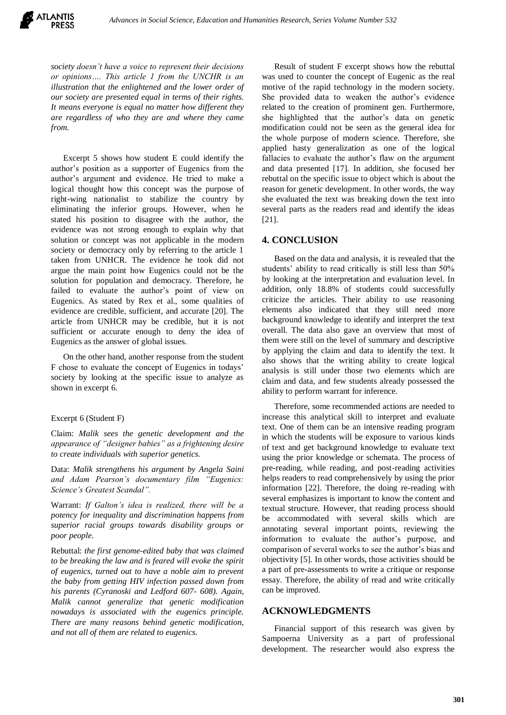*society doesn't have a voice to represent their decisions or opinions…. This article 1 from the UNCHR is an illustration that the enlightened and the lower order of our society are presented equal in terms of their rights. It means everyone is equal no matter how different they are regardless of who they are and where they came from.*

Excerpt 5 shows how student E could identify the author's position as a supporter of Eugenics from the author's argument and evidence. He tried to make a logical thought how this concept was the purpose of right-wing nationalist to stabilize the country by eliminating the inferior groups. However, when he stated his position to disagree with the author, the evidence was not strong enough to explain why that solution or concept was not applicable in the modern society or democracy only by referring to the article 1 taken from UNHCR. The evidence he took did not argue the main point how Eugenics could not be the solution for population and democracy. Therefore, he failed to evaluate the author's point of view on Eugenics. As stated by Rex et al., some qualities of evidence are credible, sufficient, and accurate [20]. The article from UNHCR may be credible, but it is not sufficient or accurate enough to deny the idea of Eugenics as the answer of global issues.

On the other hand, another response from the student F chose to evaluate the concept of Eugenics in todays' society by looking at the specific issue to analyze as shown in excerpt 6.

#### Excerpt 6 (Student F)

Claim: *Malik sees the genetic development and the appearance of "designer babies" as a frightening desire to create individuals with superior genetics.*

Data: *Malik strengthens his argument by Angela Saini and Adam Pearson's documentary film "Eugenics: Science's Greatest Scandal".*

Warrant: *If Galton's idea is realized, there will be a potency for inequality and discrimination happens from superior racial groups towards disability groups or poor people.*

Rebuttal: *the first genome-edited baby that was claimed to be breaking the law and is feared will evoke the spirit of eugenics, turned out to have a noble aim to prevent the baby from getting HIV infection passed down from his parents (Cyranoski and Ledford 607- 608). Again, Malik cannot generalize that genetic modification nowadays is associated with the eugenics principle. There are many reasons behind genetic modification, and not all of them are related to eugenics.*

Result of student F excerpt shows how the rebuttal was used to counter the concept of Eugenic as the real motive of the rapid technology in the modern society. She provided data to weaken the author's evidence related to the creation of prominent gen. Furthermore, she highlighted that the author's data on genetic modification could not be seen as the general idea for the whole purpose of modern science. Therefore, she applied hasty generalization as one of the logical fallacies to evaluate the author's flaw on the argument and data presented [17]. In addition, she focused her rebuttal on the specific issue to object which is about the reason for genetic development. In other words, the way she evaluated the text was breaking down the text into several parts as the readers read and identify the ideas [21].

#### **4. CONCLUSION**

Based on the data and analysis, it is revealed that the students' ability to read critically is still less than 50% by looking at the interpretation and evaluation level. In addition, only 18.8% of students could successfully criticize the articles. Their ability to use reasoning elements also indicated that they still need more background knowledge to identify and interpret the text overall. The data also gave an overview that most of them were still on the level of summary and descriptive by applying the claim and data to identify the text. It also shows that the writing ability to create logical analysis is still under those two elements which are claim and data, and few students already possessed the ability to perform warrant for inference.

Therefore, some recommended actions are needed to increase this analytical skill to interpret and evaluate text. One of them can be an intensive reading program in which the students will be exposure to various kinds of text and get background knowledge to evaluate text using the prior knowledge or schemata. The process of pre-reading, while reading, and post-reading activities helps readers to read comprehensively by using the prior information [22]. Therefore, the doing re-reading with several emphasizes is important to know the content and textual structure. However, that reading process should be accommodated with several skills which are annotating several important points, reviewing the information to evaluate the author's purpose, and comparison of several works to see the author's bias and objectivity [5]. In other words, those activities should be a part of pre-assessments to write a critique or response essay. Therefore, the ability of read and write critically can be improved.

## **ACKNOWLEDGMENTS**

Financial support of this research was given by Sampoerna University as a part of professional development. The researcher would also express the